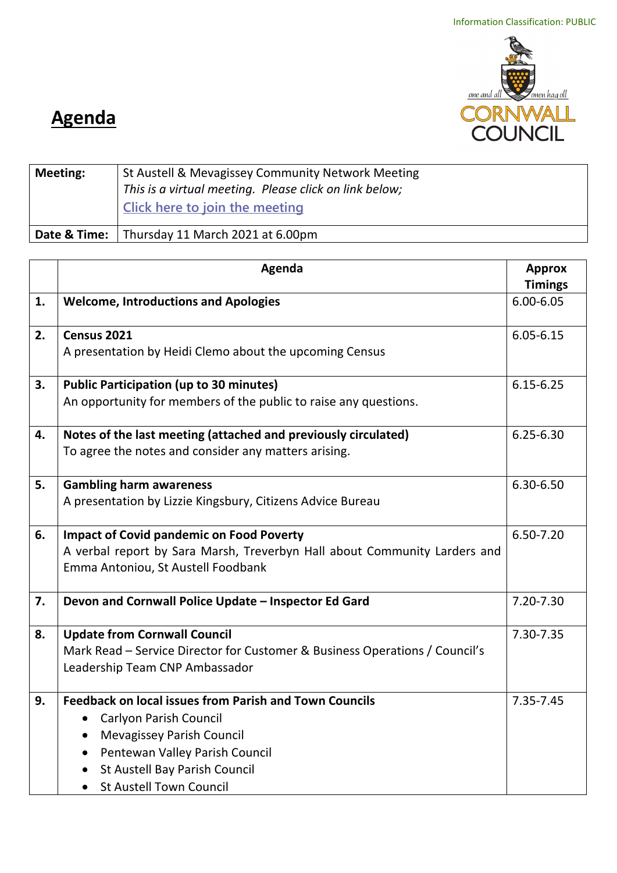

## **Agenda**

| <b>Meeting:</b> | St Austell & Mevagissey Community Network Meeting<br>This is a virtual meeting. Please click on link below;<br>Click here to join the meeting |
|-----------------|-----------------------------------------------------------------------------------------------------------------------------------------------|
|                 | Date & Time:   Thursday 11 March 2021 at 6.00pm                                                                                               |

|    | Agenda                                                                                                          | <b>Approx</b>  |
|----|-----------------------------------------------------------------------------------------------------------------|----------------|
|    |                                                                                                                 | <b>Timings</b> |
| 1. | <b>Welcome, Introductions and Apologies</b>                                                                     | $6.00 - 6.05$  |
| 2. | Census 2021                                                                                                     | $6.05 - 6.15$  |
|    | A presentation by Heidi Clemo about the upcoming Census                                                         |                |
| 3. | <b>Public Participation (up to 30 minutes)</b>                                                                  | $6.15 - 6.25$  |
|    | An opportunity for members of the public to raise any questions.                                                |                |
| 4. | Notes of the last meeting (attached and previously circulated)                                                  | $6.25 - 6.30$  |
|    | To agree the notes and consider any matters arising.                                                            |                |
| 5. | <b>Gambling harm awareness</b>                                                                                  | 6.30-6.50      |
|    | A presentation by Lizzie Kingsbury, Citizens Advice Bureau                                                      |                |
| 6. | <b>Impact of Covid pandemic on Food Poverty</b>                                                                 | 6.50-7.20      |
|    | A verbal report by Sara Marsh, Treverbyn Hall about Community Larders and<br>Emma Antoniou, St Austell Foodbank |                |
| 7. | Devon and Cornwall Police Update - Inspector Ed Gard                                                            | 7.20-7.30      |
|    |                                                                                                                 |                |
| 8. | <b>Update from Cornwall Council</b>                                                                             | 7.30-7.35      |
|    | Mark Read – Service Director for Customer & Business Operations / Council's                                     |                |
|    | Leadership Team CNP Ambassador                                                                                  |                |
| 9. | <b>Feedback on local issues from Parish and Town Councils</b>                                                   | 7.35-7.45      |
|    | Carlyon Parish Council<br>$\bullet$                                                                             |                |
|    | <b>Mevagissey Parish Council</b><br>$\bullet$                                                                   |                |
|    | Pentewan Valley Parish Council<br>$\bullet$                                                                     |                |
|    | St Austell Bay Parish Council                                                                                   |                |
|    | <b>St Austell Town Council</b><br>$\bullet$                                                                     |                |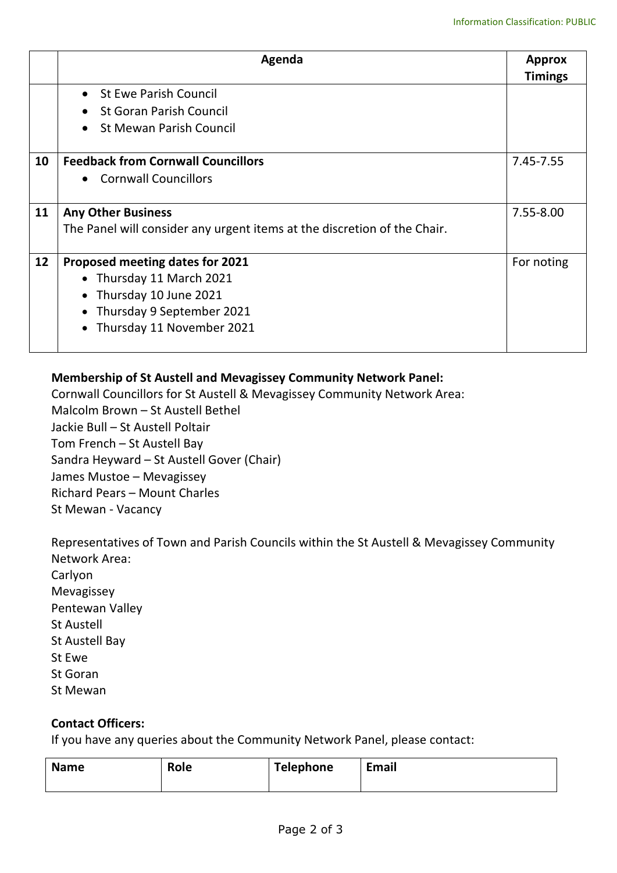|    | Agenda                                                                   | <b>Approx</b><br><b>Timings</b> |
|----|--------------------------------------------------------------------------|---------------------------------|
|    | • St Ewe Parish Council                                                  |                                 |
|    | <b>St Goran Parish Council</b>                                           |                                 |
|    | <b>St Mewan Parish Council</b><br>$\bullet$                              |                                 |
| 10 | <b>Feedback from Cornwall Councillors</b>                                | 7.45-7.55                       |
|    | • Cornwall Councillors                                                   |                                 |
| 11 | <b>Any Other Business</b>                                                | 7.55-8.00                       |
|    | The Panel will consider any urgent items at the discretion of the Chair. |                                 |
| 12 | Proposed meeting dates for 2021                                          | For noting                      |
|    | • Thursday 11 March 2021                                                 |                                 |
|    | • Thursday 10 June 2021                                                  |                                 |
|    | Thursday 9 September 2021<br>$\bullet$                                   |                                 |
|    | Thursday 11 November 2021                                                |                                 |

## **Membership of St Austell and Mevagissey Community Network Panel:**

Cornwall Councillors for St Austell & Mevagissey Community Network Area: Malcolm Brown – St Austell Bethel Jackie Bull – St Austell Poltair Tom French – St Austell Bay Sandra Heyward – St Austell Gover (Chair) James Mustoe – Mevagissey Richard Pears – Mount Charles St Mewan - Vacancy

Representatives of Town and Parish Councils within the St Austell & Mevagissey Community Network Area: Carlyon Mevagissey Pentewan Valley St Austell St Austell Bay St Ewe St Goran St Mewan

## **Contact Officers:**

If you have any queries about the Community Network Panel, please contact:

|  | <b>Name</b> | Role | Telephone | <b>Email</b> |
|--|-------------|------|-----------|--------------|
|--|-------------|------|-----------|--------------|